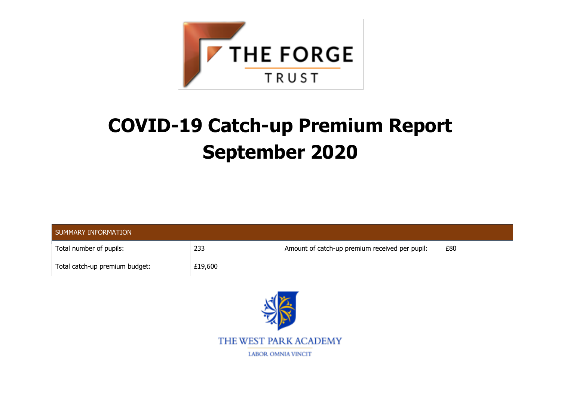

# **COVID-19 Catch-up Premium Report September 2020**

| SUMMARY INFORMATION            |         |                                                |     |  |  |
|--------------------------------|---------|------------------------------------------------|-----|--|--|
| Total number of pupils:        | 233     | Amount of catch-up premium received per pupil: | £80 |  |  |
| Total catch-up premium budget: | £19,600 |                                                |     |  |  |

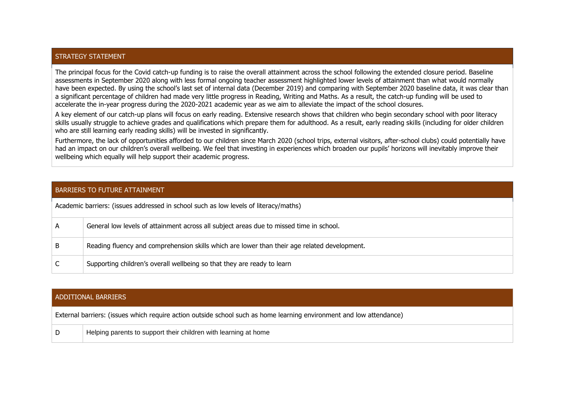### STRATEGY STATEMENT

The principal focus for the Covid catch-up funding is to raise the overall attainment across the school following the extended closure period. Baseline assessments in September 2020 along with less formal ongoing teacher assessment highlighted lower levels of attainment than what would normally have been expected. By using the school's last set of internal data (December 2019) and comparing with September 2020 baseline data, it was clear than a significant percentage of children had made very little progress in Reading, Writing and Maths. As a result, the catch-up funding will be used to accelerate the in-year progress during the 2020-2021 academic year as we aim to alleviate the impact of the school closures.

A key element of our catch-up plans will focus on early reading. Extensive research shows that children who begin secondary school with poor literacy skills usually struggle to achieve grades and qualifications which prepare them for adulthood. As a result, early reading skills (including for older children who are still learning early reading skills) will be invested in significantly.

Furthermore, the lack of opportunities afforded to our children since March 2020 (school trips, external visitors, after-school clubs) could potentially have had an impact on our children's overall wellbeing. We feel that investing in experiences which broaden our pupils' horizons will inevitably improve their wellbeing which equally will help support their academic progress.

#### BARRIERS TO FUTURE ATTAINMENT

| Academic barriers: (issues addressed in school such as low levels of literacy/maths) |                                                                                              |  |  |  |
|--------------------------------------------------------------------------------------|----------------------------------------------------------------------------------------------|--|--|--|
| А                                                                                    | General low levels of attainment across all subject areas due to missed time in school.      |  |  |  |
| В                                                                                    | Reading fluency and comprehension skills which are lower than their age related development. |  |  |  |
|                                                                                      | Supporting children's overall wellbeing so that they are ready to learn                      |  |  |  |

#### ADDITIONAL BARRIERS

External barriers: (issues which require action outside school such as home learning environment and low attendance)

D Helping parents to support their children with learning at home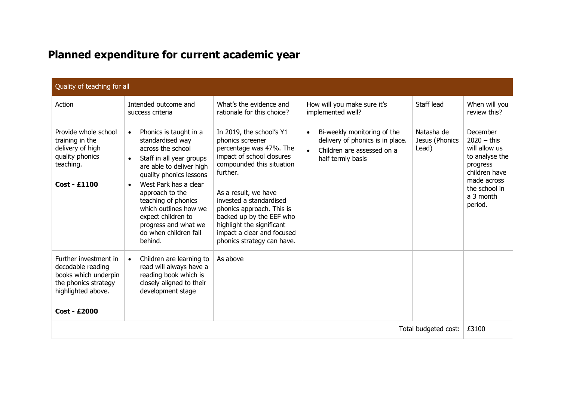## **Planned expenditure for current academic year**

| Quality of teaching for all                                                                                                             |                                                                                                                                                                                                                                                                                                                                                            |                                                                                                                                                                                                                                                                                                                                                    |                                                                                                                                              |                                       |                                                                                                                                                   |  |  |
|-----------------------------------------------------------------------------------------------------------------------------------------|------------------------------------------------------------------------------------------------------------------------------------------------------------------------------------------------------------------------------------------------------------------------------------------------------------------------------------------------------------|----------------------------------------------------------------------------------------------------------------------------------------------------------------------------------------------------------------------------------------------------------------------------------------------------------------------------------------------------|----------------------------------------------------------------------------------------------------------------------------------------------|---------------------------------------|---------------------------------------------------------------------------------------------------------------------------------------------------|--|--|
| Action                                                                                                                                  | Intended outcome and<br>success criteria                                                                                                                                                                                                                                                                                                                   | What's the evidence and<br>rationale for this choice?                                                                                                                                                                                                                                                                                              | How will you make sure it's<br>implemented well?                                                                                             | Staff lead                            | When will you<br>review this?                                                                                                                     |  |  |
| Provide whole school<br>training in the<br>delivery of high<br>quality phonics<br>teaching.<br><b>Cost - £1100</b>                      | Phonics is taught in a<br>$\bullet$<br>standardised way<br>across the school<br>Staff in all year groups<br>are able to deliver high<br>quality phonics lessons<br>West Park has a clear<br>$\bullet$<br>approach to the<br>teaching of phonics<br>which outlines how we<br>expect children to<br>progress and what we<br>do when children fall<br>behind. | In 2019, the school's Y1<br>phonics screener<br>percentage was 47%. The<br>impact of school closures<br>compounded this situation<br>further.<br>As a result, we have<br>invested a standardised<br>phonics approach. This is<br>backed up by the EEF who<br>highlight the significant<br>impact a clear and focused<br>phonics strategy can have. | Bi-weekly monitoring of the<br>$\bullet$<br>delivery of phonics is in place.<br>Children are assessed on a<br>$\bullet$<br>half termly basis | Natasha de<br>Jesus (Phonics<br>Lead) | December<br>$2020 -$ this<br>will allow us<br>to analyse the<br>progress<br>children have<br>made across<br>the school in<br>a 3 month<br>period. |  |  |
| Further investment in<br>decodable reading<br>books which underpin<br>the phonics strategy<br>highlighted above.<br><b>Cost - £2000</b> | Children are learning to<br>read will always have a<br>reading book which is<br>closely aligned to their<br>development stage                                                                                                                                                                                                                              | As above                                                                                                                                                                                                                                                                                                                                           |                                                                                                                                              |                                       |                                                                                                                                                   |  |  |
| Total budgeted cost:                                                                                                                    |                                                                                                                                                                                                                                                                                                                                                            |                                                                                                                                                                                                                                                                                                                                                    |                                                                                                                                              |                                       | £3100                                                                                                                                             |  |  |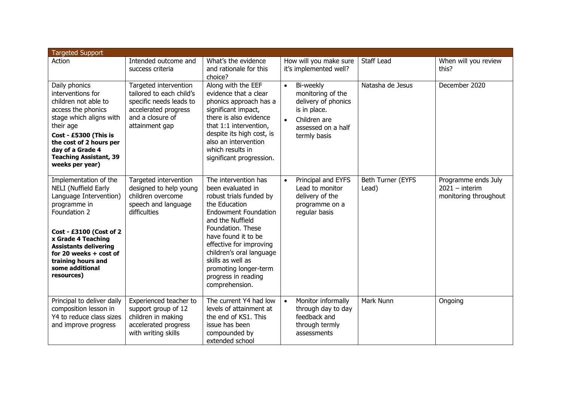| <b>Targeted Support</b>                                                                                                                                                                                                                                                            |                                                                                                                                            |                                                                                                                                                                                                                                                                                                                                    |                                                                                                                                                       |                            |                                                                  |  |  |  |
|------------------------------------------------------------------------------------------------------------------------------------------------------------------------------------------------------------------------------------------------------------------------------------|--------------------------------------------------------------------------------------------------------------------------------------------|------------------------------------------------------------------------------------------------------------------------------------------------------------------------------------------------------------------------------------------------------------------------------------------------------------------------------------|-------------------------------------------------------------------------------------------------------------------------------------------------------|----------------------------|------------------------------------------------------------------|--|--|--|
| Action                                                                                                                                                                                                                                                                             | Intended outcome and<br>success criteria                                                                                                   | What's the evidence<br>and rationale for this<br>choice?                                                                                                                                                                                                                                                                           | How will you make sure<br>it's implemented well?                                                                                                      | Staff Lead                 | When will you review<br>this?                                    |  |  |  |
| Daily phonics<br>interventions for<br>children not able to<br>access the phonics<br>stage which aligns with<br>their age<br>Cost - £5300 (This is<br>the cost of 2 hours per<br>day of a Grade 4<br><b>Teaching Assistant, 39</b><br>weeks per year)                               | Targeted intervention<br>tailored to each child's<br>specific needs leads to<br>accelerated progress<br>and a closure of<br>attainment gap | Along with the EEF<br>evidence that a clear<br>phonics approach has a<br>significant impact,<br>there is also evidence<br>that 1:1 intervention,<br>despite its high cost, is<br>also an intervention<br>which results in<br>significant progression.                                                                              | Bi-weekly<br>$\bullet$<br>monitoring of the<br>delivery of phonics<br>is in place.<br>Children are<br>$\bullet$<br>assessed on a half<br>termly basis | Natasha de Jesus           | December 2020                                                    |  |  |  |
| Implementation of the<br><b>NELI (Nuffield Early</b><br>Language Intervention)<br>programme in<br>Foundation 2<br>Cost - £3100 (Cost of 2<br>x Grade 4 Teaching<br><b>Assistants delivering</b><br>for 20 weeks $+$ cost of<br>training hours and<br>some additional<br>resources) | Targeted intervention<br>designed to help young<br>children overcome<br>speech and language<br>difficulties                                | The intervention has<br>been evaluated in<br>robust trials funded by<br>the Education<br><b>Endowment Foundation</b><br>and the Nuffield<br>Foundation. These<br>have found it to be<br>effective for improving<br>children's oral language<br>skills as well as<br>promoting longer-term<br>progress in reading<br>comprehension. | Principal and EYFS<br>$\bullet$<br>Lead to monitor<br>delivery of the<br>programme on a<br>regular basis                                              | Beth Turner (EYFS<br>Lead) | Programme ends July<br>$2021 -$ interim<br>monitoring throughout |  |  |  |
| Principal to deliver daily<br>composition lesson in<br>Y4 to reduce class sizes<br>and improve progress                                                                                                                                                                            | Experienced teacher to<br>support group of 12<br>children in making<br>accelerated progress<br>with writing skills                         | The current Y4 had low<br>levels of attainment at<br>the end of KS1. This<br>issue has been<br>compounded by<br>extended school                                                                                                                                                                                                    | Monitor informally<br>$\bullet$<br>through day to day<br>feedback and<br>through termly<br>assessments                                                | Mark Nunn                  | Ongoing                                                          |  |  |  |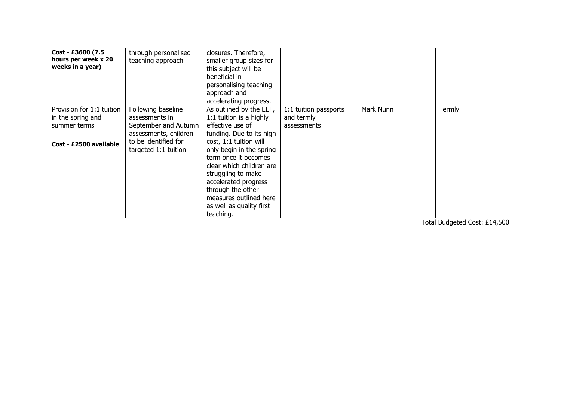| Cost - £3600 (7.5<br>hours per week x 20<br>weeks in a year)                             | through personalised<br>teaching approach                                                                                             | closures. Therefore,<br>smaller group sizes for<br>this subject will be<br>beneficial in<br>personalising teaching<br>approach and<br>accelerating progress.                                                                                                                                                                                       |                                                    |           |        |
|------------------------------------------------------------------------------------------|---------------------------------------------------------------------------------------------------------------------------------------|----------------------------------------------------------------------------------------------------------------------------------------------------------------------------------------------------------------------------------------------------------------------------------------------------------------------------------------------------|----------------------------------------------------|-----------|--------|
| Provision for 1:1 tuition<br>in the spring and<br>summer terms<br>Cost - £2500 available | Following baseline<br>assessments in<br>September and Autumn<br>assessments, children<br>to be identified for<br>targeted 1:1 tuition | As outlined by the EEF,<br>1:1 tuition is a highly<br>effective use of<br>funding. Due to its high<br>cost, 1:1 tuition will<br>only begin in the spring<br>term once it becomes<br>clear which children are<br>struggling to make<br>accelerated progress<br>through the other<br>measures outlined here<br>as well as quality first<br>teaching. | 1:1 tuition passports<br>and termly<br>assessments | Mark Nunn | Termly |
| Total Budgeted Cost: £14,500                                                             |                                                                                                                                       |                                                                                                                                                                                                                                                                                                                                                    |                                                    |           |        |